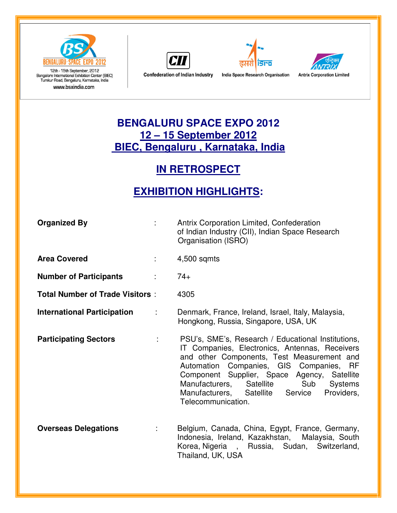

12th - 15th September, 2012<br>Bangalore International Exhibition Center (BIEC) Tumkur Road, Bengaluru, Karnataka, India www.bsxindia.com







**Confederation of Indian Industry** 

India Space Research Organisation

### **BENGALURU SPACE EXPO 2012 12 – 15 September 2012 BIEC, Bengaluru , Karnataka, India**

## **IN RETROSPECT**

# **EXHIBITION HIGHLIGHTS:**

| <b>Organized By</b>                    | <b>Antrix Corporation Limited, Confederation</b><br>of Indian Industry (CII), Indian Space Research<br>Organisation (ISRO)                                                                                                                                                                                                                                                |
|----------------------------------------|---------------------------------------------------------------------------------------------------------------------------------------------------------------------------------------------------------------------------------------------------------------------------------------------------------------------------------------------------------------------------|
| <b>Area Covered</b>                    | 4,500 sqmts                                                                                                                                                                                                                                                                                                                                                               |
| <b>Number of Participants</b>          | $74+$                                                                                                                                                                                                                                                                                                                                                                     |
| <b>Total Number of Trade Visitors:</b> | 4305                                                                                                                                                                                                                                                                                                                                                                      |
| <b>International Participation</b>     | Denmark, France, Ireland, Israel, Italy, Malaysia,<br>Hongkong, Russia, Singapore, USA, UK                                                                                                                                                                                                                                                                                |
| <b>Participating Sectors</b>           | PSU's, SME's, Research / Educational Institutions,<br>IT Companies, Electronics, Antennas, Receivers<br>and other Components, Test Measurement and<br>Automation Companies, GIS Companies, RF<br>Component Supplier, Space Agency, Satellite<br>Manufacturers, Satellite<br>Sub<br><b>Systems</b><br>Providers,<br>Manufacturers, Satellite Service<br>Telecommunication. |
| <b>Overseas Delegations</b>            | Belgium, Canada, China, Egypt, France, Germany,<br>Indonesia, Ireland, Kazakhstan, Malaysia, South<br>Korea, Nigeria, Russia, Sudan, Switzerland,<br>Thailand, UK, USA                                                                                                                                                                                                    |